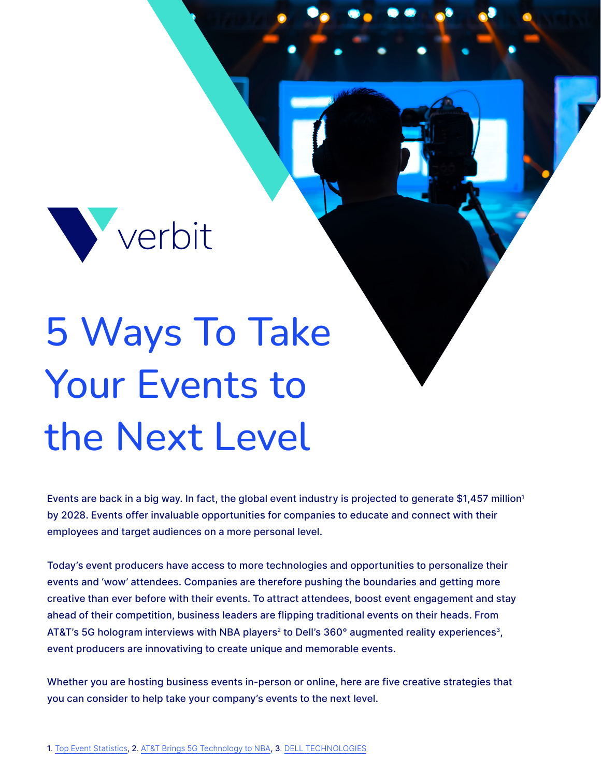

# 5 Ways To Take Your Events to the Next Level

Events are back in a big way. In fact, the global event industry is projected to generate \$1,457 million<sup>1</sup> by 2028. Events offer invaluable opportunities for companies to educate and connect with their employees and target audiences on a more personal level.

Today's event producers have access to more technologies and opportunities to personalize their events and 'wow' attendees. Companies are therefore pushing the boundaries and getting more creative than ever before with their events. To attract attendees, boost event engagement and stay ahead of their competition, business leaders are flipping traditional events on their heads. From AT&T's 5G hologram interviews with NBA players<sup>2</sup> to Dell's 360° augmented reality experiences<sup>3</sup>, event producers are innovativing to create unique and memorable events.

Whether you are hosting business events in-person or online, here are five creative strategies that you can consider to help take your company's events to the next level.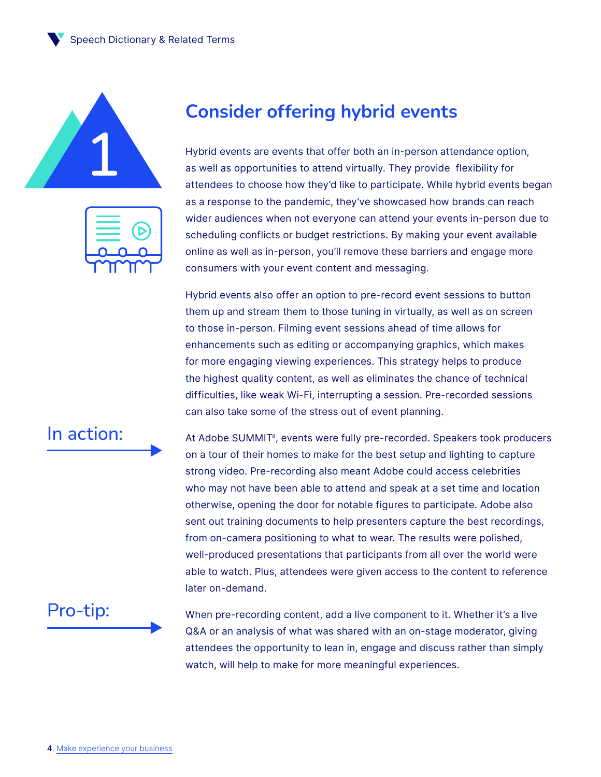Speech Dictionary & Related Terms





### **Consider offering hybrid events**

Hybrid events are events that offer both an in-person attendance option, as well as opportunities to attend virtually. They provide flexibility for attendees to choose how they'd like to participate. While hybrid events began as a response to the pandemic, they've showcased how brands can reach wider audiences when not everyone can attend your events in-person due to scheduling conflicts or budget restrictions. By making your event available online as well as in-person, you'll remove these barriers and engage more consumers with your event content and messaging.

Hybrid events also offer an option to pre-record event sessions to button them up and stream them to those tuning in virtually, as well as on screen to those in-person. Filming event sessions ahead of time allows for enhancements such as editing or accompanying graphics, which makes for more engaging viewing experiences. This strategy helps to produce the highest quality content, as well as eliminates the chance of technical difficulties, like weak Wi-Fi, interrupting a session. Pre-recorded sessions can also take some of the stress out of event planning.

At Adobe SUMMIT<sup>4</sup>, events were fully pre-recorded. Speakers took producers on a tour of their homes to make for the best setup and lighting to capture strong video. Pre-recording also meant Adobe could access celebrities who may not have been able to attend and speak at a set time and location otherwise, opening the door for notable figures to participate. Adobe also sent out training documents to help presenters capture the best recordings, from on-camera positioning to what to wear. The results were polished, well-produced presentations that participants from all over the world were able to watch. Plus, attendees were given access to the content to reference later on-demand.

## Pro-tip:

When pre-recording content, add a live component to it. Whether it's a live Q&A or an analysis of what was shared with an on-stage moderator, giving attendees the opportunity to lean in, engage and discuss rather than simply watch, will help to make for more meaningful experiences.

In action: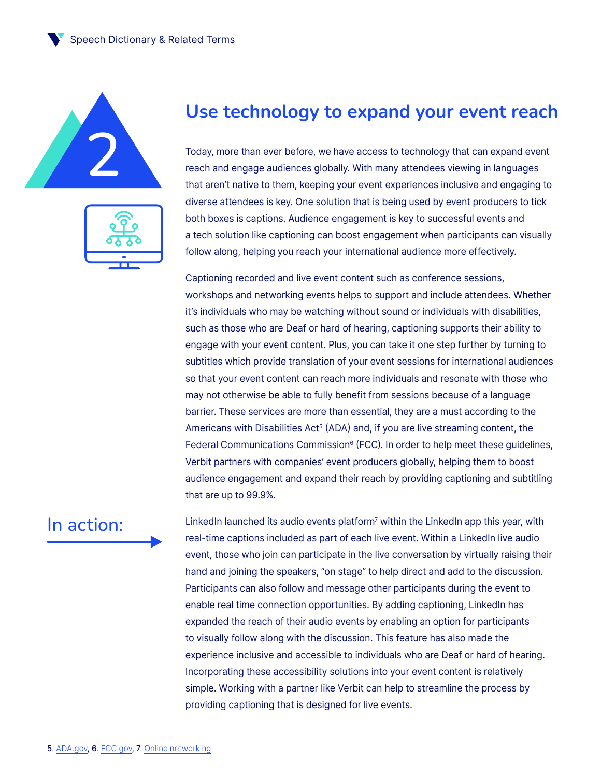Speech Dictionary & Related Terms



| D. |  |
|----|--|
|    |  |

#### **Use technology to expand your event reach**

Today, more than ever before, we have access to technology that can expand event<br>reach and engage audiences globally. With many attendees viewing in languages reach and engage audiences globally. With many attendees viewing in languages that aren't native to them, keeping your event experiences inclusive and engaging to diverse attendees is key. One solution that is being used by event producers to tick both boxes is captions. Audience engagement is key to successful events and a tech solution like captioning can boost engagement when participants can visually follow along, helping you reach your international audience more effectively.

> Captioning recorded and live event content such as conference sessions, workshops and networking events helps to support and include attendees. Whether it's individuals who may be watching without sound or individuals with disabilities, such as those who are Deaf or hard of hearing, captioning supports their ability to engage with your event content. Plus, you can take it one step further by turning to subtitles which provide translation of your event sessions for international audiences so that your event content can reach more individuals and resonate with those who may not otherwise be able to fully benefit from sessions because of a language barrier. These services are more than essential, they are a must according to the Americans with Disabilities Act<sup>5</sup> (ADA) and, if you are live streaming content, the Federal Communications Commission<sup>6</sup> (FCC). In order to help meet these guidelines, Verbit partners with companies' event producers globally, helping them to boost audience engagement and expand their reach by providing captioning and subtitling that are up to 99.9%.

#### In action:

LinkedIn launched its audio events platform<sup>7</sup> within the LinkedIn app this year, with real-time captions included as part of each live event. Within a LinkedIn live audio event, those who join can participate in the live conversation by virtually raising their hand and joining the speakers, "on stage" to help direct and add to the discussion. Participants can also follow and message other participants during the event to enable real time connection opportunities. By adding captioning, LinkedIn has expanded the reach of their audio events by enabling an option for participants to visually follow along with the discussion. This feature has also made the experience inclusive and accessible to individuals who are Deaf or hard of hearing. Incorporating these accessibility solutions into your event content is relatively simple. Working with a partner like Verbit can help to streamline the process by providing captioning that is designed for live events.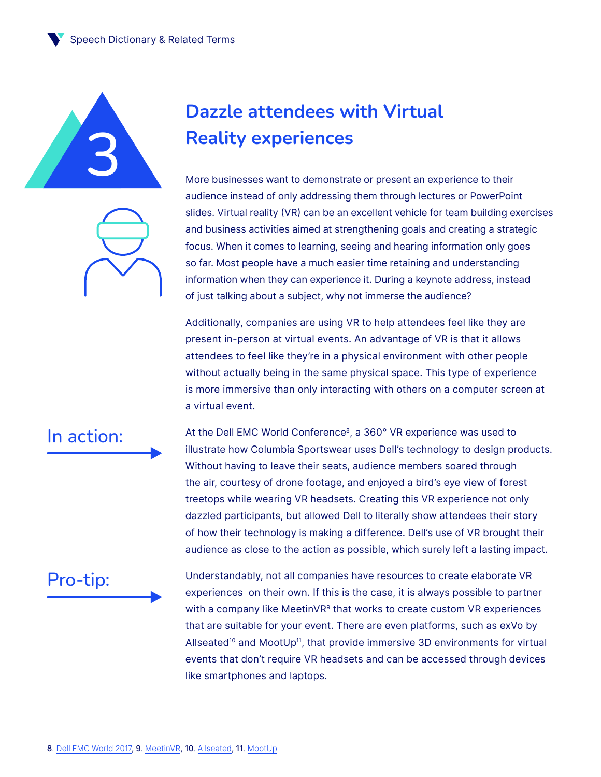



# **Dazzle attendees with Virtual Reality experiences**

More businesses want to demonstrate or present an experience to their audience instead of only addressing them through lectures or PowerPoint slides. Virtual reality (VR) can be an excellent vehicle for team building exercises and business activities aimed at strengthening goals and creating a strategic focus. When it comes to learning, seeing and hearing information only goes so far. Most people have a much easier time retaining and understanding information when they can experience it. During a keynote address, instead of just talking about a subject, why not immerse the audience?

Additionally, companies are using VR to help attendees feel like they are present in-person at virtual events. An advantage of VR is that it allows attendees to feel like they're in a physical environment with other people without actually being in the same physical space. This type of experience is more immersive than only interacting with others on a computer screen at a virtual event.

#### In action:

At the Dell EMC World Conference<sup>8</sup>, a 360° VR experience was used to illustrate how Columbia Sportswear uses Dell's technology to design products. Without having to leave their seats, audience members soared through the air, courtesy of drone footage, and enjoyed a bird's eye view of forest treetops while wearing VR headsets. Creating this VR experience not only dazzled participants, but allowed Dell to literally show attendees their story of how their technology is making a difference. Dell's use of VR brought their audience as close to the action as possible, which surely left a lasting impact.

#### Pro-tip:

Understandably, not all companies have resources to create elaborate VR experiences on their own. If this is the case, it is always possible to partner with a company like MeetinVR<sup>9</sup> that works to create custom VR experiences that are suitable for your event. There are even platforms, such as exVo by Allseated<sup>10</sup> and MootUp<sup>11</sup>, that provide immersive 3D environments for virtual events that don't require VR headsets and can be accessed through devices like smartphones and laptops.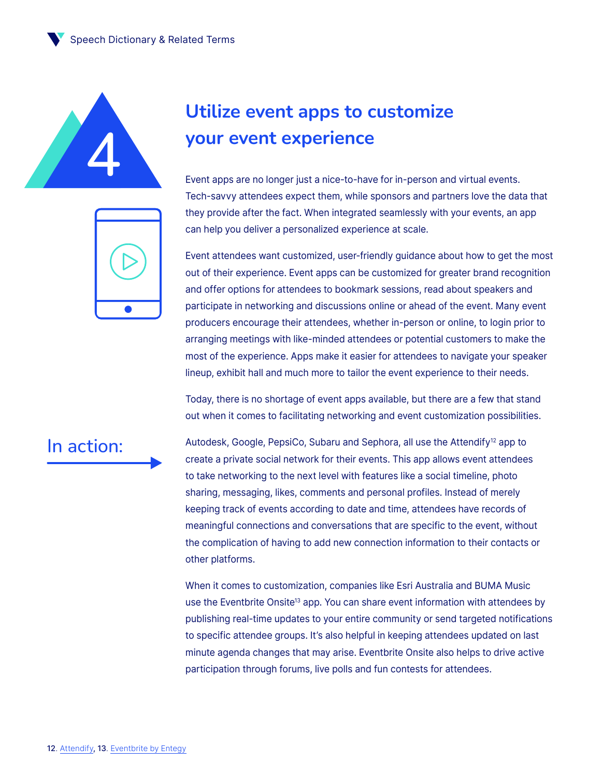

# **Utilize event apps to customize your event experience**

Event apps are no longer just a nice-to-have for in-person and virtual events. Tech-savvy attendees expect them, while sponsors and partners love the data that they provide after the fact. When integrated seamlessly with your events, an app can help you deliver a personalized experience at scale.

Event attendees want customized, user-friendly guidance about how to get the most out of their experience. Event apps can be customized for greater brand recognition and offer options for attendees to bookmark sessions, read about speakers and participate in networking and discussions online or ahead of the event. Many event producers encourage their attendees, whether in-person or online, to login prior to arranging meetings with like-minded attendees or potential customers to make the most of the experience. Apps make it easier for attendees to navigate your speaker lineup, exhibit hall and much more to tailor the event experience to their needs.

Today, there is no shortage of event apps available, but there are a few that stand out when it comes to facilitating networking and event customization possibilities.

#### In action:

Autodesk, Google, PepsiCo, Subaru and Sephora, all use the Attendify<sup>12</sup> app to create a private social network for their events. This app allows event attendees to take networking to the next level with features like a social timeline, photo sharing, messaging, likes, comments and personal profiles. Instead of merely keeping track of events according to date and time, attendees have records of meaningful connections and conversations that are specific to the event, without the complication of having to add new connection information to their contacts or other platforms.

When it comes to customization, companies like Esri Australia and BUMA Music use the Eventbrite Onsite<sup>13</sup> app. You can share event information with attendees by publishing real-time updates to your entire community or send targeted notifications to specific attendee groups. It's also helpful in keeping attendees updated on last minute agenda changes that may arise. Eventbrite Onsite also helps to drive active participation through forums, live polls and fun contests for attendees.